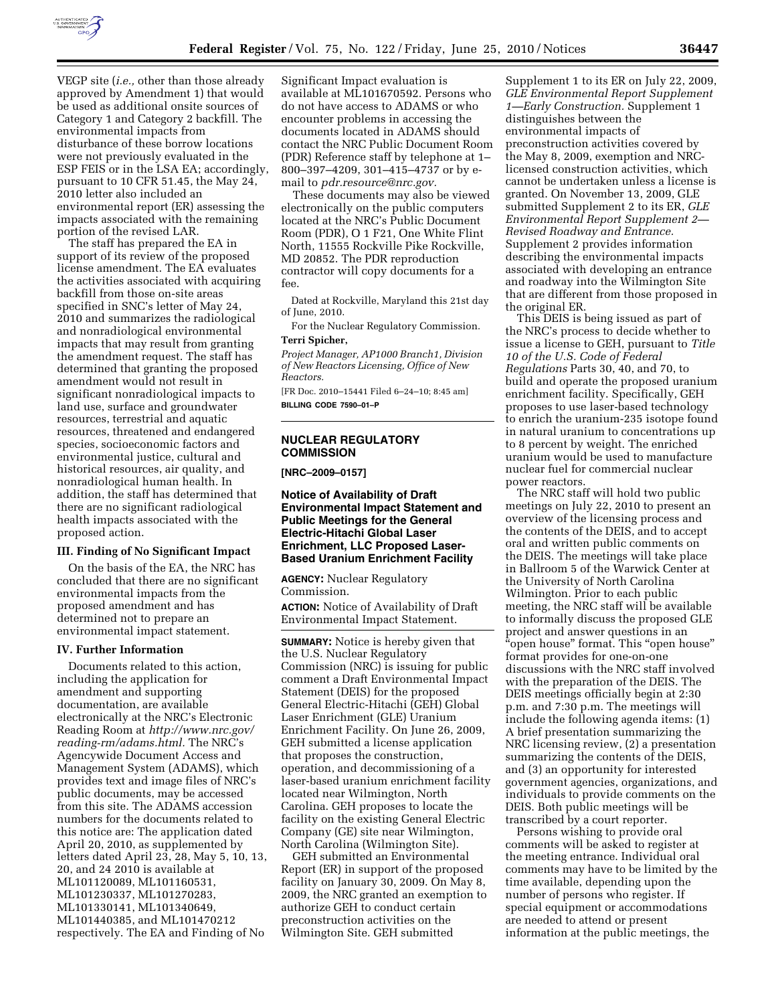

VEGP site (*i.e.,* other than those already approved by Amendment 1) that would be used as additional onsite sources of Category 1 and Category 2 backfill. The environmental impacts from disturbance of these borrow locations were not previously evaluated in the ESP FEIS or in the LSA EA; accordingly, pursuant to 10 CFR 51.45, the May 24, 2010 letter also included an environmental report (ER) assessing the impacts associated with the remaining portion of the revised LAR.

The staff has prepared the EA in support of its review of the proposed license amendment. The EA evaluates the activities associated with acquiring backfill from those on-site areas specified in SNC's letter of May 24, 2010 and summarizes the radiological and nonradiological environmental impacts that may result from granting the amendment request. The staff has determined that granting the proposed amendment would not result in significant nonradiological impacts to land use, surface and groundwater resources, terrestrial and aquatic resources, threatened and endangered species, socioeconomic factors and environmental justice, cultural and historical resources, air quality, and nonradiological human health. In addition, the staff has determined that there are no significant radiological health impacts associated with the proposed action.

## **III. Finding of No Significant Impact**

On the basis of the EA, the NRC has concluded that there are no significant environmental impacts from the proposed amendment and has determined not to prepare an environmental impact statement.

#### **IV. Further Information**

Documents related to this action, including the application for amendment and supporting documentation, are available electronically at the NRC's Electronic Reading Room at *http://www.nrc.gov/ reading-rm/adams.html.* The NRC's Agencywide Document Access and Management System (ADAMS), which provides text and image files of NRC's public documents, may be accessed from this site. The ADAMS accession numbers for the documents related to this notice are: The application dated April 20, 2010, as supplemented by letters dated April 23, 28, May 5, 10, 13, 20, and 24 2010 is available at ML101120089, ML101160531, ML101230337, ML101270283, ML101330141, ML101340649, ML101440385, and ML101470212 respectively. The EA and Finding of No

Significant Impact evaluation is available at ML101670592. Persons who do not have access to ADAMS or who encounter problems in accessing the documents located in ADAMS should contact the NRC Public Document Room (PDR) Reference staff by telephone at 1– 800–397–4209, 301–415–4737 or by email to *pdr.resource@nrc.gov.* 

These documents may also be viewed electronically on the public computers located at the NRC's Public Document Room (PDR), O 1 F21, One White Flint North, 11555 Rockville Pike Rockville, MD 20852. The PDR reproduction contractor will copy documents for a fee.

Dated at Rockville, Maryland this 21st day of June, 2010.

For the Nuclear Regulatory Commission. **Terri Spicher,** 

*Project Manager, AP1000 Branch1, Division of New Reactors Licensing, Office of New Reactors.* 

[FR Doc. 2010–15441 Filed 6–24–10; 8:45 am] **BILLING CODE 7590–01–P** 

# **NUCLEAR REGULATORY COMMISSION**

**[NRC–2009–0157]** 

**Notice of Availability of Draft Environmental Impact Statement and Public Meetings for the General Electric-Hitachi Global Laser Enrichment, LLC Proposed Laser-Based Uranium Enrichment Facility** 

**AGENCY:** Nuclear Regulatory Commission.

**ACTION:** Notice of Availability of Draft Environmental Impact Statement.

**SUMMARY:** Notice is hereby given that the U.S. Nuclear Regulatory Commission (NRC) is issuing for public comment a Draft Environmental Impact Statement (DEIS) for the proposed General Electric-Hitachi (GEH) Global Laser Enrichment (GLE) Uranium Enrichment Facility. On June 26, 2009, GEH submitted a license application that proposes the construction, operation, and decommissioning of a laser-based uranium enrichment facility located near Wilmington, North Carolina. GEH proposes to locate the facility on the existing General Electric Company (GE) site near Wilmington, North Carolina (Wilmington Site).

GEH submitted an Environmental Report (ER) in support of the proposed facility on January 30, 2009. On May 8, 2009, the NRC granted an exemption to authorize GEH to conduct certain preconstruction activities on the Wilmington Site. GEH submitted

Supplement 1 to its ER on July 22, 2009, *GLE Environmental Report Supplement 1—Early Construction.* Supplement 1 distinguishes between the environmental impacts of preconstruction activities covered by the May 8, 2009, exemption and NRClicensed construction activities, which cannot be undertaken unless a license is granted. On November 13, 2009, GLE submitted Supplement 2 to its ER, *GLE Environmental Report Supplement 2— Revised Roadway and Entrance.*  Supplement 2 provides information describing the environmental impacts associated with developing an entrance and roadway into the Wilmington Site that are different from those proposed in the original ER.

This DEIS is being issued as part of the NRC's process to decide whether to issue a license to GEH, pursuant to *Title 10 of the U.S. Code of Federal Regulations* Parts 30, 40, and 70, to build and operate the proposed uranium enrichment facility. Specifically, GEH proposes to use laser-based technology to enrich the uranium-235 isotope found in natural uranium to concentrations up to 8 percent by weight. The enriched uranium would be used to manufacture nuclear fuel for commercial nuclear power reactors.

The NRC staff will hold two public meetings on July 22, 2010 to present an overview of the licensing process and the contents of the DEIS, and to accept oral and written public comments on the DEIS. The meetings will take place in Ballroom 5 of the Warwick Center at the University of North Carolina Wilmington. Prior to each public meeting, the NRC staff will be available to informally discuss the proposed GLE project and answer questions in an ''open house'' format. This ''open house'' format provides for one-on-one discussions with the NRC staff involved with the preparation of the DEIS. The DEIS meetings officially begin at 2:30 p.m. and 7:30 p.m. The meetings will include the following agenda items: (1) A brief presentation summarizing the NRC licensing review, (2) a presentation summarizing the contents of the DEIS, and (3) an opportunity for interested government agencies, organizations, and individuals to provide comments on the DEIS. Both public meetings will be transcribed by a court reporter.

Persons wishing to provide oral comments will be asked to register at the meeting entrance. Individual oral comments may have to be limited by the time available, depending upon the number of persons who register. If special equipment or accommodations are needed to attend or present information at the public meetings, the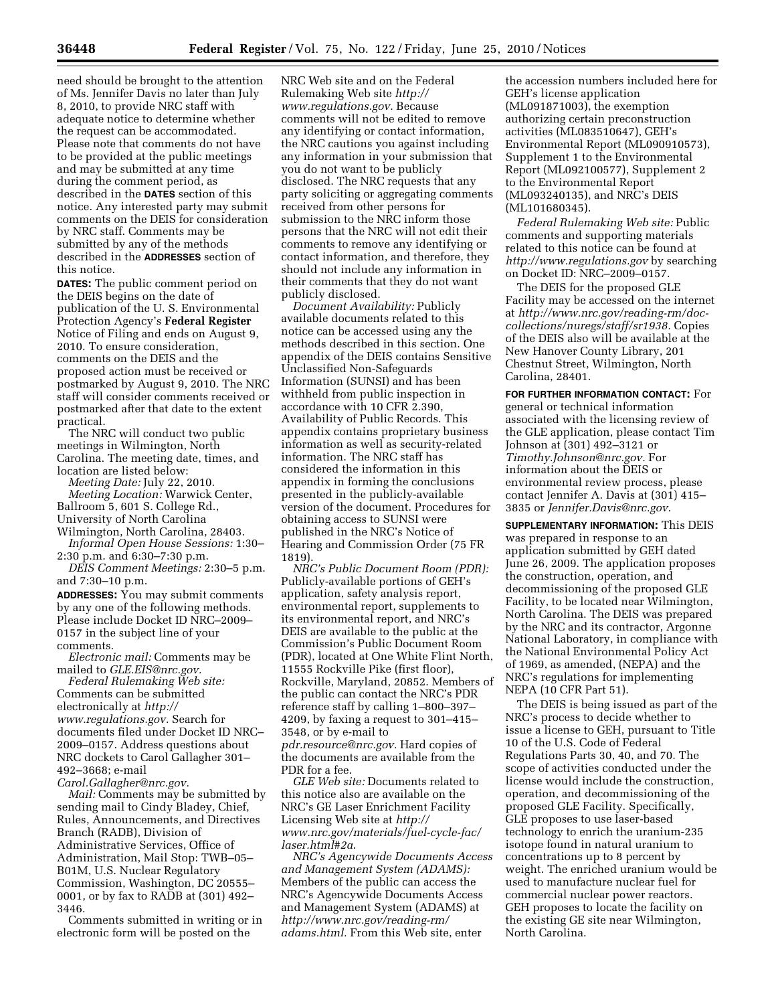need should be brought to the attention of Ms. Jennifer Davis no later than July 8, 2010, to provide NRC staff with adequate notice to determine whether the request can be accommodated. Please note that comments do not have to be provided at the public meetings and may be submitted at any time during the comment period, as described in the **DATES** section of this notice. Any interested party may submit comments on the DEIS for consideration by NRC staff. Comments may be submitted by any of the methods described in the **ADDRESSES** section of this notice.

**DATES:** The public comment period on the DEIS begins on the date of publication of the U. S. Environmental Protection Agency's **Federal Register**  Notice of Filing and ends on August 9, 2010. To ensure consideration, comments on the DEIS and the proposed action must be received or postmarked by August 9, 2010. The NRC staff will consider comments received or postmarked after that date to the extent practical.

The NRC will conduct two public meetings in Wilmington, North Carolina. The meeting date, times, and location are listed below:

*Meeting Date:* July 22, 2010. *Meeting Location:* Warwick Center, Ballroom 5, 601 S. College Rd., University of North Carolina

Wilmington, North Carolina, 28403. *Informal Open House Sessions:* 1:30–

2:30 p.m. and 6:30–7:30 p.m. *DEIS Comment Meetings:* 2:30–5 p.m. and 7:30–10 p.m.

**ADDRESSES:** You may submit comments by any one of the following methods. Please include Docket ID NRC–2009– 0157 in the subject line of your comments.

*Electronic mail:* Comments may be mailed to *GLE.EIS@nrc.gov.* 

*Federal Rulemaking Web site:*  Comments can be submitted electronically at *http:// www.regulations.gov.* Search for documents filed under Docket ID NRC– 2009–0157. Address questions about NRC dockets to Carol Gallagher 301– 492–3668; e-mail

*Carol.Gallagher@nrc.gov.* 

*Mail:* Comments may be submitted by sending mail to Cindy Bladey, Chief, Rules, Announcements, and Directives Branch (RADB), Division of Administrative Services, Office of Administration, Mail Stop: TWB–05– B01M, U.S. Nuclear Regulatory Commission, Washington, DC 20555– 0001, or by fax to RADB at (301) 492– 3446.

Comments submitted in writing or in electronic form will be posted on the

NRC Web site and on the Federal Rulemaking Web site *http:// www.regulations.gov.* Because comments will not be edited to remove any identifying or contact information, the NRC cautions you against including any information in your submission that you do not want to be publicly disclosed. The NRC requests that any party soliciting or aggregating comments received from other persons for submission to the NRC inform those persons that the NRC will not edit their comments to remove any identifying or contact information, and therefore, they should not include any information in their comments that they do not want publicly disclosed.

*Document Availability:* Publicly available documents related to this notice can be accessed using any the methods described in this section. One appendix of the DEIS contains Sensitive Unclassified Non-Safeguards Information (SUNSI) and has been withheld from public inspection in accordance with 10 CFR 2.390, Availability of Public Records. This appendix contains proprietary business information as well as security-related information. The NRC staff has considered the information in this appendix in forming the conclusions presented in the publicly-available version of the document. Procedures for obtaining access to SUNSI were published in the NRC's Notice of Hearing and Commission Order (75 FR 1819).

*NRC's Public Document Room (PDR):*  Publicly-available portions of GEH's application, safety analysis report, environmental report, supplements to its environmental report, and NRC's DEIS are available to the public at the Commission's Public Document Room (PDR), located at One White Flint North, 11555 Rockville Pike (first floor), Rockville, Maryland, 20852. Members of the public can contact the NRC's PDR reference staff by calling 1–800–397– 4209, by faxing a request to 301–415– 3548, or by e-mail to *pdr.resource@nrc.gov.* Hard copies of

the documents are available from the PDR for a fee.

*GLE Web site:* Documents related to this notice also are available on the NRC's GE Laser Enrichment Facility Licensing Web site at *http:// www.nrc.gov/materials/fuel-cycle-fac/ laser.html#2a*.

*NRC's Agencywide Documents Access and Management System (ADAMS):*  Members of the public can access the NRC's Agencywide Documents Access and Management System (ADAMS) at *http://www.nrc.gov/reading-rm/ adams.html.* From this Web site, enter

the accession numbers included here for GEH's license application (ML091871003), the exemption authorizing certain preconstruction activities (ML083510647), GEH's Environmental Report (ML090910573), Supplement 1 to the Environmental Report (ML092100577), Supplement 2 to the Environmental Report (ML093240135), and NRC's DEIS (ML101680345).

*Federal Rulemaking Web site:* Public comments and supporting materials related to this notice can be found at *http://www.regulations.gov* by searching on Docket ID: NRC–2009–0157.

The DEIS for the proposed GLE Facility may be accessed on the internet at *http://www.nrc.gov/reading-rm/doccollections/nuregs/staff/sr1938.* Copies of the DEIS also will be available at the New Hanover County Library, 201 Chestnut Street, Wilmington, North Carolina, 28401.

**FOR FURTHER INFORMATION CONTACT:** For general or technical information associated with the licensing review of the GLE application, please contact Tim Johnson at (301) 492–3121 or *Timothy.Johnson@nrc.gov.* For information about the DEIS or environmental review process, please contact Jennifer A. Davis at (301) 415– 3835 or *Jennifer.Davis@nrc.gov.* 

**SUPPLEMENTARY INFORMATION:** This DEIS was prepared in response to an application submitted by GEH dated June 26, 2009. The application proposes the construction, operation, and decommissioning of the proposed GLE Facility, to be located near Wilmington, North Carolina. The DEIS was prepared by the NRC and its contractor, Argonne National Laboratory, in compliance with the National Environmental Policy Act of 1969, as amended, (NEPA) and the NRC's regulations for implementing NEPA (10 CFR Part 51).

The DEIS is being issued as part of the NRC's process to decide whether to issue a license to GEH, pursuant to Title 10 of the U.S. Code of Federal Regulations Parts 30, 40, and 70. The scope of activities conducted under the license would include the construction, operation, and decommissioning of the proposed GLE Facility. Specifically, GLE proposes to use laser-based technology to enrich the uranium-235 isotope found in natural uranium to concentrations up to 8 percent by weight. The enriched uranium would be used to manufacture nuclear fuel for commercial nuclear power reactors. GEH proposes to locate the facility on the existing GE site near Wilmington, North Carolina.